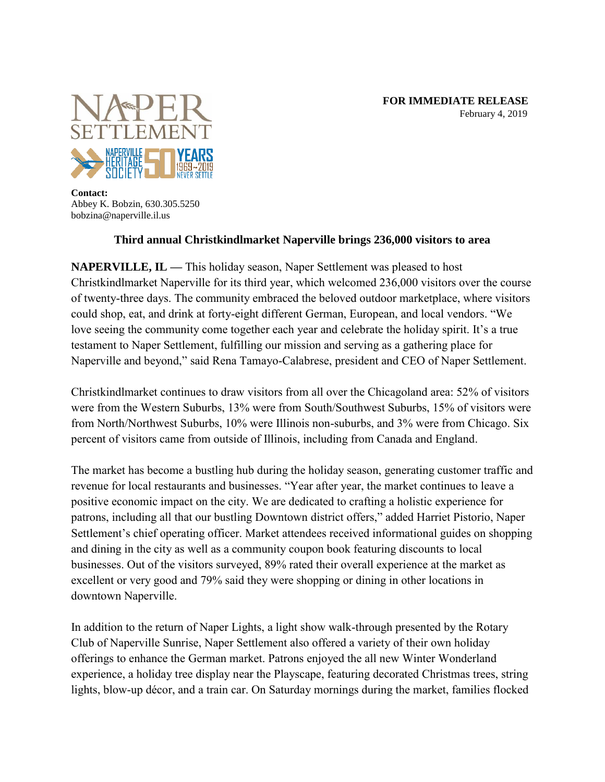

**Contact:** Abbey K. Bobzin, 630.305.5250 bobzina@naperville.il.us

## **Third annual Christkindlmarket Naperville brings 236,000 visitors to area**

**NAPERVILLE, IL — This holiday season, Naper Settlement was pleased to host Christkindlmarket Naperville for its third year, which welcomed 236,000 visitors over the course of twenty-three days. The community embraced the beloved outdoor marketplace, where visitors could shop, eat, and drink at forty-eight different German, European, and local vendors. "We love seeing the community come together each year and celebrate the holiday spirit. It's a true testament to Naper Settlement, fulfilling our mission and serving as a gathering place for Naperville and beyond," said Rena Tamayo-Calabrese, president and CEO of Naper Settlement.**

**Christkindlmarket continues to draw visitors from all over the Chicagoland area: 52% of visitors were from the Western Suburbs, 13% were from South/Southwest Suburbs, 15% of visitors were from North/Northwest Suburbs, 10% were Illinois non-suburbs, and 3% were from Chicago. Six percent of visitors came from outside of Illinois, including from Canada and England.**

**The market has become a bustling hub during the holiday season, generating customer traffic and revenue for local restaurants and businesses. "Year after year, the market continues to leave a positive economic impact on the city. We are dedicated to crafting a holistic experience for patrons, including all that our bustling Downtown district offers," added Harriet Pistorio, Naper Settlement's chief operating officer. Market attendees received informational guides on shopping and dining in the city as well as a community coupon book featuring discounts to local businesses. Out of the visitors surveyed, 89% rated their overall experience at the market as excellent or very good and 79% said they were shopping or dining in other locations in downtown Naperville.** 

**In addition to the return of Naper Lights, a light show walk-through presented by the Rotary Club of Naperville Sunrise, Naper Settlement also offered a variety of their own holiday offerings to enhance the German market. Patrons enjoyed the all new Winter Wonderland experience, a holiday tree display near the Playscape, featuring decorated Christmas trees, string lights, blow-up décor, and a train car. On Saturday mornings during the market, families flocked**